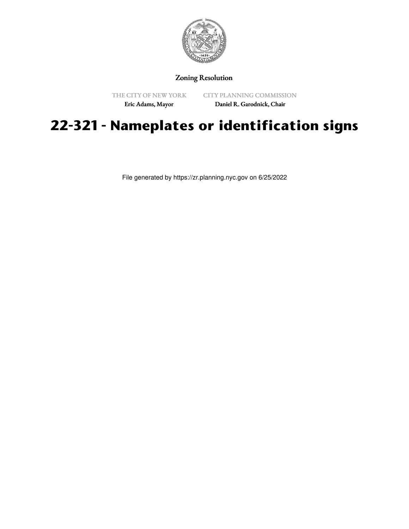

## Zoning Resolution

THE CITY OF NEW YORK Eric Adams, Mayor

CITY PLANNING COMMISSION Daniel R. Garodnick, Chair

## **22-321 - Nameplates or identification signs**

File generated by https://zr.planning.nyc.gov on 6/25/2022